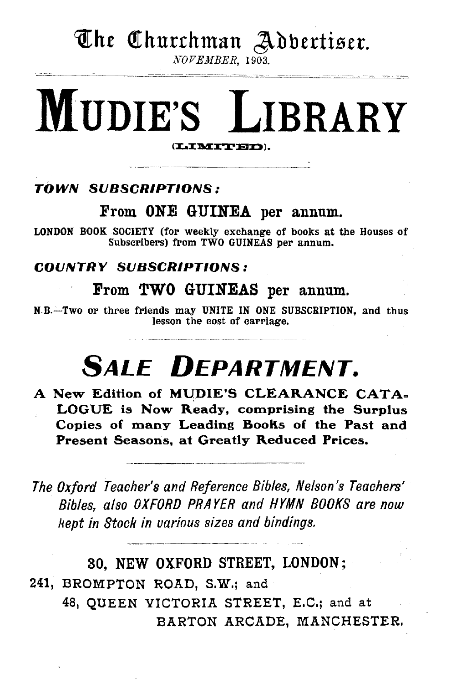# **The Churchman Adbertiser.**

*NOVEMBER,* 1903.

# MUDIE'S LIBRARY

### TOWN SUBSCRIPTIONS:

### From ONE GUINEA per annum.

LONDON BOOK SOCIETY (for weekly exchange of books at the Houses of Subscribers) from TWO GUINEAS per annum.

### COUNTRY SUBSCRIPTIONS:

### From TWO GUINEAS per annum.

N.B.-Two or three friends may UNITE IN ONE SUBSCRIPTION, and thus lesson the cost of carriage.

# **SALE DEPARTMENT.**

A New Edition of MUDIE'S CLEARANCE CATA. LOGUE is Now Ready, comprising the Surplus Copies of many Leading Books of the Past and Present Seasons, at Greatly Reduced Prices.

*The Oxford Teacher's and Reference Bibles, Nelson's Teachers' Bibles, also OXFORD PRAYER and HYMN BOOKS are now kept in Stock in uarious sizes and bindings.* 

### 80, NEW OXFORD STREET, LONDON;

241, BROMPTON ROAD, S.W.; and 48, QUEEN VICTORIA STREET, E.C.; and at BARTON ARCADE, MANCHESTER.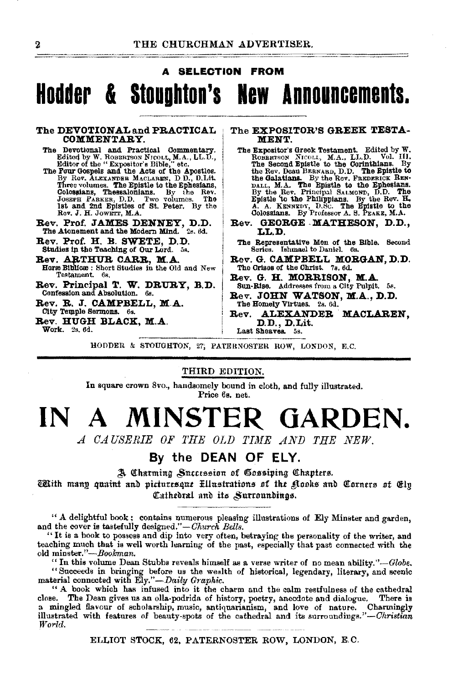#### **SELECTION FROM**

# Hodder & Stoughton's New Announcements.

#### The DEVOTIONAL and PRACTICAL COMMENTARY.

- The Devotional and Practical Commentary.<br>Editor of the "Expositor's Bible, "etc.<br>Beitter of the "Expositor's Bible," etc.<br>The Pour Gospels and the Acts of the Apostles.<br>The Pour Gospels and the Acts of the Apostles.
- row upspins and the Acce of the Apostles.<br>By Rev. ALEXANDER MACLAREN, DD., D.Lit.<br>Three volumes. The Epistle to the Ephesians, Colossians, Thessalonians. By the Rev.<br>Joseph PARKER, D.D. Two volumes. The<br>1st and 2nd Epistle Rev. J. H. Jowert, M.A.
- Rev. Prof. JAMES DENNEY, D.D.<br>The Atonement and the Modern Mind. 2s. 6d.
- Rev. Prof. H. B. SWETE, D.D.<br>Studies in the Teaching of Our Lord. 5s.
- Rev. ARTHUR CARR, M.A. Horm Biblicae : Short Studies in the Old and New Testament. 6s.
- Rev. Principal T. W. DRURY, B.D. Confession and Absolution. 6s.

Rev. R. J. CAMPBELL, M.A.

- City Temple Sermons. 6s.
- Rev. HUGH BLACK, M.A. Work. 2s. 6d.

#### The EXPOSITOR'S GREEK TESTA-MENT.

- The Expositor's Greek Testament. Edited by W. ROBBRTSON NICOLL, M.A., LL.D. Vol. III.<br>The Second Epistle to the Corinthians. By The Second Epistice to the Cornfundants. By<br>the Rev. Dean BERNAED, D.D. The Epistic to<br>the Galatians. By the Rev. FREERING Rev.<br>Dall, M.A. The Epistic to the Ephesians.<br>By the Rev. Principal SALMOND, D.D. The<br>Episte to the
- Rev. GEORGE MATHESON, D.D., LLD.
- The Representative Men of the Bible. Second Series. Ishmael to Daniel. 6s.
- Rev. G. CAMPBELL MORGAN, D.D.<br>The Orises of the Christ. 7s. 6d.
- Rev. G. H. MORRISON, M.A.<br>Sun-Rise. Addresses from a City Pulpit. 5s.
- Rev. JOHN WATSON, M.A., D.D. The Homely Virtues. 2s. 6d.
- ALEXANDER MACLAREN.  $\mathbf{Re}\mathbf{v}$ . D.D., D.Lit. Last Sheaves, 5s.

HODDER & STOUGHTON, 27; PATERNOSTER ROW, LONDON, E.C.

#### THIRD EDITION.

In square crown 8vo., handsomely bound in cloth, and fully illustrated. Price 6s. net.

### MINSTER GARDEN. IN A

A CAUSERIE OF THE OLD TIME AND THE NEW.

### By the DEAN OF ELY.

A Charming Succession of Gossiping Chapters.

TRith many quaint and picturesque Hllustrations of the Kooks and Corners of Ely Cathedral and its Surroundings.

" A delightful book; contains numerous pleasing illustrations of Ely Minster and garden, and the cover is tastefully designed."-Church Bells.

"It is a book to possess and dip into very often, betraying the personality of the writer, and teaching much that is well worth learning of the past, especially that past connected with the old minster."-Bookman.

" In this volume Dean Stubbs reveals himself as a verse writer of no mean ability."-Globe. "Succeeds in bringing before us the wealth of historical, legendary, literary, and scenic material connected with Ely."-Daily Graphic.

" A book which has infused into it the charm and the calm restfulness of the cathedral The Dean gives us an olla-podrida of history, poetry, anecdote and dialogue. There is close. a mingled flavour of scholarship, music, antiquarianism, and love of nature. Charmingly illustrated with features of beauty-spots of the cathedral and its surroundings."-Christian World.

ELLIOT STOCK, 62, PATERNOSTER ROW, LONDON, E.C.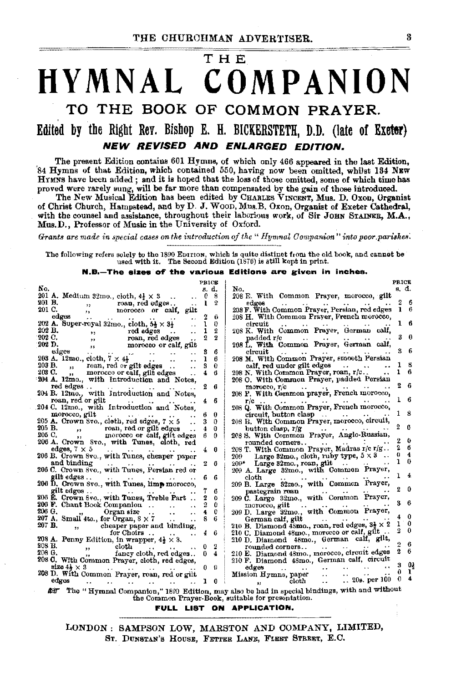# **THE HYMNAL COMPANION TO THE BOOK OF COMMON PRAYER.**

# **Edited by the Right Rev. Bishop E. H. BICKERSTETH, D.D. (late of Exeter) NEW REVISED AND ENLARGED EDITION.**

The present Edition contains 601 Hymns, of which only 466 appeared in the last Edition, '84 Hymns of that Edition, which contained 550, having now been omitted, whilst 134 NEW HYMNS have been added ; and it is hoped that the loss of those omitted, some of which time has

proved were rarely sung, will be far more than compensated by the gain of those introduced. The New Musical Edition has been edited by CHARLES VINCENT, Mus. D. Oxon, Organist of Christ Church, Hampstead, and by D. J. Woon, Mus.B. Oxon, Organist of Exeter Cathedral, with the counsel and assistance, throughout their laborious work, of Sir JOHN STAINER, M.A., Mus.D., Professor of Music in the University of Oxford.

*Grants are made in special eases on the introduction of the" Hymnal Oornpanion" into poor. parishes:* 

The following refers solely to the 1890 EDITION, which is quite distinct from the old book, and cannot be used with it. The Second Edition (1876) is still kept in print.

**N.B.-The ala- of' the various Editions are e;lven In Inches.** 

|                                                                                                            | PRICE          |                       | <b>PRICE</b>                                                   |          |  |
|------------------------------------------------------------------------------------------------------------|----------------|-----------------------|----------------------------------------------------------------|----------|--|
| No.                                                                                                        | s. d.          |                       | s. d.<br>No.                                                   |          |  |
|                                                                                                            |                |                       |                                                                |          |  |
| 201 A. Medium 32mo., cioth, $4\frac{1}{2} \times 3$                                                        | 0              | 8                     | 208 E. With Common Prayer, morocco, gilt                       |          |  |
| 201 B.<br>roan, red edges<br>, 1                                                                           | ı              | $\boldsymbol{\Omega}$ | edges<br>$\cdots$<br>$\cdots$                                  | 6        |  |
| 201 C.<br>morocco or calf, gilt<br>,,                                                                      |                |                       | ı.<br>208 F. With Common Prayer, Persian, red edges            | B.       |  |
| едден                                                                                                      | 2              | 6                     | 208 H. With Common Prayer, French morocco,                     |          |  |
| $\cdots$<br>$\cdot$ $\cdot$<br>$\cdots$<br>$\cdots$                                                        |                |                       |                                                                | 16       |  |
| 202 A. Super-royal 32mo., cloth, $5\frac{1}{2} \times 3\frac{1}{2}$<br>. .                                 | ı              | 0                     | circuit<br>$\cdot$ .<br>$\cdots$                               |          |  |
| 202 B.                                                                                                     | ı              | 2                     | 208 K. With Common Prayer, German calf,                        |          |  |
| 202 C.                                                                                                     | 2              | $\bf{2}$              | padded r/c<br>and the season of the season                     | n        |  |
| 202 D.                                                                                                     |                |                       | 208 L. With Common Prayer, German calf,                        |          |  |
|                                                                                                            |                |                       |                                                                | 6        |  |
| edges<br>and the state of the state of the state                                                           | 3              | 6                     | circuit<br>$\ddot{\phantom{1}}$                                |          |  |
| 203 A. 12mo., cloth, $7 \times 4\frac{1}{2}$<br>$\cdot$ .<br>$\ddot{\phantom{1}}$<br>$\cdot$ $\cdot$       | ı              | 6                     | 208 M. With Common Prayer, smooth Persian                      |          |  |
| 203 B., roan, red or gilt edges<br>. .                                                                     | s              | 0                     | calf, red under gilt edges                                     | 8        |  |
| 203 C.<br>morocco or calf, gilt edges                                                                      |                | 6                     | 208 N. With Common Prayer, roan, r/c                           | 6        |  |
| $\bullet$                                                                                                  |                |                       |                                                                |          |  |
| 204 A. 12mo., with Introduction and Notes,                                                                 |                |                       | 208 O. With Common Prayer, padded Persian                      |          |  |
| red edges<br>$\cdots$                                                                                      |                | -6                    | morocco, r/c                                                   | 6        |  |
| 204 B. 12mo., with Introduction and Notes,                                                                 |                |                       | 208 P. With Common prayer, French morocco,                     |          |  |
| roan, red or gilt                                                                                          | 4.             | -6                    | $r/c$                                                          | 6        |  |
| $\ddot{\phantom{0}}$                                                                                       |                |                       | 208 Q. With Common Prayer, French morocco,                     |          |  |
| 204 C. 12mo., with Introduction and Notes,                                                                 |                |                       |                                                                |          |  |
| morocco, gilt                                                                                              |                | 0                     | $circuit$ , button clasp $\ldots$ $\ldots$                     | 8        |  |
| 205 A. Crown 8vo., cloth, red edges, $7 \times 5$<br>$\cdot$ .                                             | 3              | $\Omega$              | 208 R. With Common Prayer, morocco, circuit,                   |          |  |
|                                                                                                            | 4              | 0                     | button clasp, $r/g$                                            | G        |  |
| 205 B., roan, red or gilt edges<br>205 C., , morocco or calf, gilt edges                                   |                |                       |                                                                |          |  |
|                                                                                                            | 60             |                       | 208 S. With Common Prayer, Anglo-Russian,                      |          |  |
| 206 A. Crown 8vo., with Tunes, cloth, red                                                                  |                |                       | 2<br>rounded corners                                           | 0        |  |
| edges, $7 \times 5$<br>$\cdots$                                                                            | 40             |                       | 208 T. With Common Prayer, Madras r/c r/g                      | 6        |  |
| 206 B. Crown 8vo., with Tunes, cheaper paper                                                               |                |                       | o<br>Large 32mo., cloth, ruby type, $5 \times 3$<br>209-       | 4        |  |
|                                                                                                            | 2              | 6                     |                                                                | $\bf{0}$ |  |
| and binding                                                                                                |                |                       | $209*$ Large 32mo., roan, gilt                                 |          |  |
| 206 C. Crown Svo., with Tunes, Persian red or                                                              |                |                       | 209 A. Large 32mo., with Common Prayer,                        |          |  |
| <b>gilt</b> edges                                                                                          |                | -6                    | $_{\rm cloth}$<br>and the state<br>$\cdots$                    |          |  |
| 206 D. Crown 8vo., with Tunes, limp morocco,                                                               |                |                       | 209 B. Large 32mo., with Common Prayer,                        |          |  |
|                                                                                                            |                | 6                     | pastegrain roan                                                | 0        |  |
| gilt edges                                                                                                 |                |                       | $\cdots$                                                       |          |  |
| 206 E. Crown 8vo., with Tunes, Treble Part                                                                 | 2              | $\Omega$              | 209 C. Large 32mo., with Corumon Prayer,                       |          |  |
| 206 F. Chant Book Companion<br>$\ddot{\phantom{0}}$                                                        |                | 0                     | morocco, gilt<br>$\sim$ 4 $\sim$                               | 6        |  |
| 206 G.<br>"Organ size<br>$\cdot$ .                                                                         | 4              | 0                     | 209 D. Large 32mo., with Common Prayer,                        |          |  |
| $207$ A. Small 4to., for Organ, $8 \times 7$                                                               | 8              | 6                     | German calf, gilt                                              | 0        |  |
|                                                                                                            |                |                       | ı                                                              | 0        |  |
| 207 B.<br>,, cheaper paper and binding,                                                                    |                |                       | 210 B. Diamond 48mo., roan, red edges, $3\frac{1}{2} \times 2$ | 0        |  |
| for Choirs<br>$\cdots$                                                                                     | 4.             | 6                     | 210 C. Diamond 48mo., morocco or call, gilt                    |          |  |
| 208 A. Penny Edition, in wrapper, $4\frac{1}{2} \times 3$ .                                                |                |                       | 210 D. Diamond 48mo., German calf, gilt,                       |          |  |
| 208 B.<br>$_{\rm cloth}$                                                                                   |                | 2                     | rounded corners                                                | 6        |  |
| ,,<br>208 G.                                                                                               |                |                       | $\cdots$                                                       | 6        |  |
| fancy cloth, red edges. .                                                                                  | 0 <sub>4</sub> |                       | 210 E. Diamond 48mo., morocco, circuit edges                   |          |  |
| 208 C. With Common Prayer, cloth, red edges,                                                               |                |                       | 210 F. Diamond 48mo., German calf, circuit                     |          |  |
| size $4\star \times 3$<br>$\cdots$                                                                         | 09             |                       | з<br>edges<br>$\cdots$<br>$\cdots$                             | 01       |  |
| 208 D. With Common Prayer, roan, red or gilt                                                               |                |                       | 0<br>Mission Hymns, paper<br>$\ddot{\phantom{0}}$              | ı.       |  |
| edges                                                                                                      |                |                       | Ð<br>.20s. per 100<br>$_{\rm cloth}$<br>$\ddot{\phantom{a}}$   |          |  |
|                                                                                                            |                | 0                     |                                                                |          |  |
| The "Hymnal Companion," 1890 Edition, may also be had in special bindings, with and without<br><b>R.T.</b> |                |                       |                                                                |          |  |
| the Common Prayer-Book, suitable for presentation.                                                         |                |                       |                                                                |          |  |
|                                                                                                            |                |                       |                                                                |          |  |

**FULL LIST ON APPLICATION.** 

LONDON: SAMPSON LOW, MARSTON AND COMPANY, LIMITED, ST. DUNSTAN'S HOUSE, FETTER LANE, FLEET STREET, E.C.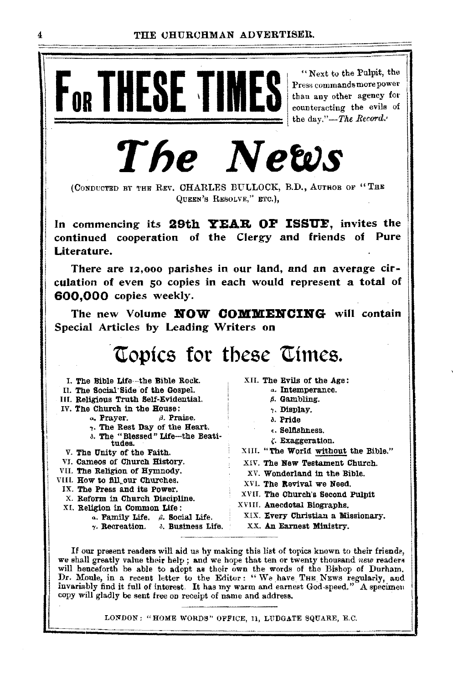"Next to the Pulpit, the

Press commands more power

# F<sub>OR</sub> THESE TIME than any other agency for counteracting the evils of the day."-The Record. The News

(CONDUCTED BY THE REV. CHARLES BULLOCK, B.D., AUTHOB OF "THE QUEEN'S RESOLVE." ETC.).

In commencing its 29th YEAR OF ISSUE, invites the continued cooperation of the Clergy and friends of Pure Literature.

There are  $12,000$  parishes in our land, and an average circulation of even 50 copies in each would represent a total of 600,000 copies weekly.

The new Volume **NOW COMMENCING** will contain Special Articles by Leading Writers on

# Topics for these Times.

| I. The Bible Life--the Bible Rock.               | XII. The Evils of the Age:           |  |  |  |
|--------------------------------------------------|--------------------------------------|--|--|--|
| Il. The Social Side of the Gospel.               | a. Intemperance.                     |  |  |  |
| III. Religious Truth Self-Evidential.            | s. Gambling.                         |  |  |  |
| IV. The Church in the House:                     | 7. Display.                          |  |  |  |
| $\alpha$ , Prayer. $\beta$ . Praise.             | δ. Pride                             |  |  |  |
| . The Rest Day of the Heart.                     | 6. Selfishness.                      |  |  |  |
| 3. The "Blessed" Life-the Beati-                 | . Exaggeration.                      |  |  |  |
| tudes.                                           | XIII. "The World without the Bible." |  |  |  |
| V. The Unity of the Faith.                       |                                      |  |  |  |
| VI. Cameos of Church History.                    | XIV. The New Testament Church.       |  |  |  |
| VII. The Religion of Hymnody.                    | XV. Wonderland in the Bible.         |  |  |  |
| VIIL <b>How to fill our Churches.</b>            | XVI. The Revival we Need.            |  |  |  |
| IX. The Press and its Power.                     |                                      |  |  |  |
| X. Reform in Church Discipline.                  | XVII. The Church's Second Pulpit     |  |  |  |
| XI. Religion in Common Life:                     | XVIII. Anecdotal Biographs.          |  |  |  |
| $\alpha$ . Family Life. $\beta$ . Social Life.   | XIX. Every Christian a Missionary.   |  |  |  |
| $\gamma$ . Recreation. $\delta$ . Business Life. | XX. An Earnest Ministry.             |  |  |  |
|                                                  |                                      |  |  |  |

If our present readers will aid us by making this list of topics known to their friends, we shall greatly value their help; and we hope that ten or twenty thousand *new* readers will henceforth be able to adopt as their own the words of the Bishop of Durham. Dr. Moule, in a recent letter to the Editor: "We have THE NEWS regularly, and invariably find it full of interest. It has my warm and earnest God-speed." A specimen copy will gladly be sent free on receipt of name and address.

LONDON: "HOME WORDS" OFFICE, 11, LUDGATE SQUARE, E.C.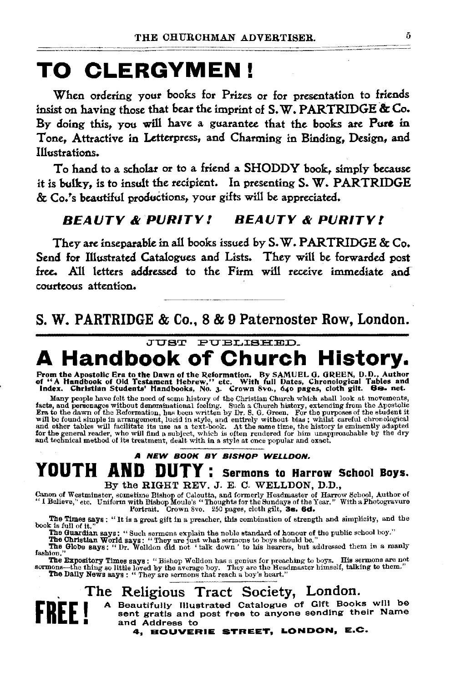# **TO CLERGYMEN!**

When ordering your books for Prizes or for presentation to friends insist on having those that bear the imprint of  $S, W, PARTRIDGE \& Co.$ By doing this, you will have a guarantee that the books are Pure in Tone, Attractive in Letterpress, and Charming in Binding, Design, and Illustrations.

To hand to a scholar or to a friend a SHODDY book, simply because it is bulky, is to insult the recipient. In presenting S. W. PARTRIDGE & Co.'s beautiful productions, your gifts will be appreciated.

### *BEAUTY* & *PURITY! BEAUTY* & *PURITY t*

They are inseparable in all books issued by S. W. PARTRIDGE & Co. Send for Illustrated Catalogues and Lists. They will be forwarded post free. All letters addressed to the Firm will receive immediate and courteous attention.

S. W. PARTRIDGE & Co., 8 & 9 Paternoster Row, London.

# JUST PUBLISHED. **A Handbook of Church History.**

From the Apostolic Era to the Dawn of the Reformation. By SAMUEL G. GREEN, D.D., Author<br>of "A Handbook of Old Testament Hebrew," etc. With full Dates, Chronological Tables and<br>Index. Christian Students' Handbooks, No. 3. C

Many people have felt the need of some history of the Christian Church which shall look at movements, facts, and personages without denominational feeling. Such a Church history, extending from the Apostolic Ent to the dew

# A NEW BOOK BY BISHOP WELLDON. **YOUTH AND DUTY:** Sermons to Harrow School Boys.<br>By the RIGHT REV. J. E. C. WELLDON, D.D.,

By the RIGHT REV. J. E. C. WELLDON, D.D.,<br>Canon of Westminster, sometime Bishop of Calcutta, and formerly Headmaster of Harrow School, Author of<br>"I Believe," etc. Uniform with Bishop Moule's "Thoughts for the Sundays of th

The Times says: "It is a great gift in a preacher, this combination of strength and simplicity, and the book is full of it."

The Guardian says: "Such sermons explain the noble standard of honour of the public school boy."<br>The Christian World says: "They are just what sermons to boys should be."<br>The Globe says: "Dr. Welldon did not "talk down" to

The Expository Times says: "Bishop Welldon has a genius for preaching to boys. His sermons are not<br>sormons—the thing so little loved by the average boy. They are the Headmaster himself, talking to them."<br>The Daily News say

### . The Religious Tract Society, London.

**FREE I** A Beautifully Illustrated Catalogue of Gift Books will be sent gratis and post free to anyone sending their Name and Address to • and Address to

4, BOUVERIE STREET, LONDON, E.C.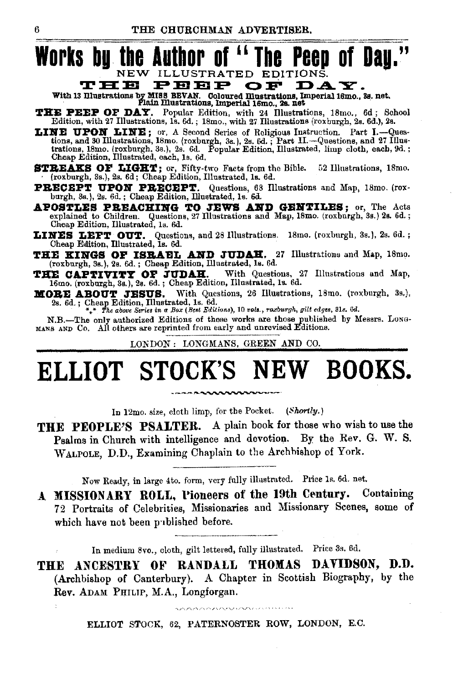

тнв рввр OF DAY. With 13 Illustrations by MISS BEVAN. Coloured Illustrations, Imperial 16mo., 3s. net.<br>Plain Illustrations, Imperial 16mo., 2s. net

- THE PEEP OF DAY. Popular Edition, with 24 Illustrations, 18mo., 6d; School Edition, with 27 Illustrations, 15. 6d.; 18mo., with 27 Illustrations (roxburgh, 2s. 6d.), 2s.
- LINE UPON LINE; or, A Second Series of Roligious Instruction. Part I.--Questions, and 30 Illustrations, 18mo. (roxburgh, 3s.), 2s. 6d.; Part II.--Questions, and 27 Illustrations, 18mo. (roxburgh, 3s.), 2s. 6d.; Popular Edi Cheap Edition, Illustrated, each, 1s. 6d.
- STREAKS OF LIGHT; or, Fifty-two Facts from the Bible. 52 Illustrations, 18mo. (roxburgh, 3s.), 2s. 6d; Cheap Edition, Illustrated, 1s. 6d.
- PRECEPT UPON PRECEPT. Questions, 68 Illustrations and Map, 18mo. (rox-burgh, 3s.), 2s. 6d.; Cheap Edition, Illustrated, 1s. 6d.
- APOSTLES PREACHING TO JEWS AND GENTILES; or, The Acts explained to Children. Questions, 27 Illustrations and Map, 18mo. (roxburgh, 3s.) 2s. 6d.; Cheap Edition, Illustrated, 1s. 6d.
- LINES LEFT OUT. Questions, and 28 Illustrations. 18mo. (roxburgh, 3s.), 2s. 6d.; Cheap Edition, Illustrated, Is. 6d.
- THE KINGS OF ISRAEL AND JUDAH. 27 Illustrations and Map, 18mo. (roxburgh, 3s.), 2s. 6d.; Cheap Edition, Illustrated, 1s. 6d.
- THE CAPTIVITY OF JUDAH. With Questions, 2 16mo. (roxburgh, 3s.), 2s. 6d.; Cheap Edition, Illustrated, 1s. 6d. With Questions, 27 Illustrations and Map,
- MORE ABOUT JESUS. With Questions, 26 Illustrations, 18mo. (roxburgh, 3s.), 2s. 6d.; Cheap Edition, Illustrated, Is. 6d.<br>\*\*\* The above Series in a Box (Best Editions), 10 vols., roxburgh, gilt edges, 31s. 6d.

N.B.-The only authorized Editions of these works are those published by Messrs. Long-MANS AND Co. All others are reprinted from early and unrevised Editions.

LONDON: LONGMANS, GREEN AND CO.

# ELLIOT STOCK'S NEW BOOKS.

In 12mo. size, cloth limp, for the Pocket. (Shortly.)

THE PEOPLE'S PSALTER. A plain book for those who wish to use the Psalms in Church with intelligence and devotion. By the Rev. G. W. S. WALPOLE, D.D., Examining Chaplain to the Archbishop of York.

Now Ready, in large 4to. form, very fully illustrated. Price 1s. 6d. net.

A MISSIONARY ROLL, Pioneers of the 19th Century. Containing 72 Portraits of Celebrities, Missionaries and Missionary Scenes, some of which have not been published before.

In medium 8vo., cloth, gilt lettered, fully illustrated. Price 3s. 6d.

THE ANCESTRY OF RANDALL THOMAS DAVIDSON, D.D. (Archbishop of Canterbury). A Chapter in Scottish Biography, by the Rev. ADAM PHILIP, M.A., Longforgan.

ELLIOT STOCK, 62, PATERNOSTER ROW, LONDON, E.C.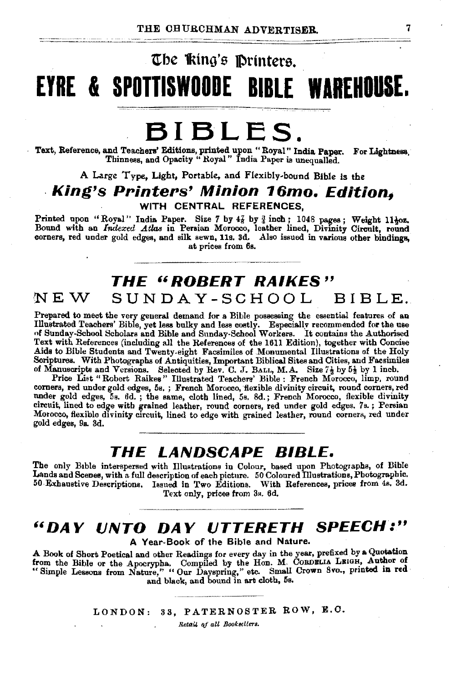~~~~~==========================----~

# The *king's* Printers. **EYRE I SPOTTISWOODE BIBLE WAREHOUSE.**

# **BIBLES.**

Text, Reference, and Teachers' Editions, printed upon "Royal" India Paper. For Lightness,<br>Thinness, and Opacity "Royal" India Paper is unequalled.

A Large Type. Ught, Portable. and Flexibly-bound Bible is the

# **King's Printers' Minion 16mo. Edition.**

WITH CENTRAL REFERENCES,

Printed upon "Royal" India Paper. Size 7 by  $4\frac{7}{8}$  by  $\frac{3}{4}$  inch; 1048 pages; Weight 11 $\frac{1}{2}$ oz.<br>Bound with an *Indexed Atlas* in Persian Morocco, leather lined, Divinity Circuit, round<br>corners, red under gold at prices from 6s.

#### ·NEW **THE "ROBERT RAIKES"**   $SUNDAY-SCHOOL$

Prepared to meet the very general demand for a Bible possessing the essential features of an Illustrated Teachers' Bible, yet less bulky and less costly. Especially recommended for the use of Sunday-School Scholars and Bib Text with References (including all the References of the 1611 Edition), together with Concise Aids to Bible Students and Twenty-eight Facsimiles of .Monumental Illustrations of the Holy Scriptures. With Photographs of Antiquities, Important Biblical Sites and Cities, and Facsimiles of Manuscripts and Versions. Selected by Rev. C. J. BALL, M.A. Size  $7\frac{1}{2}$  by  $5\frac{1}{2}$  by 1 inch.

Price List "Robert Raikes'' Illustrated Teachers' Bible : French Morocco, limp, round corners, red under gold edges, 5s. ; French Morocco, flexible divinity circuit, round corners, red nnder gold edges, 5s. 6d. ; the same, cloth lined, 5s. 8d.; French Morocco, flexible divinity circuit, lined to edge with grained leather, round corners, red under gold edges. 7s. ; Persian Morocco, flexible divinity circuit, lined to edge with grained leather, round corners, red under gold edges, 9s. 3d.

### **THE LANDSCAPE BIBLE.**

The only B1ble interspersed with Illustrations in Colour, based upon Photographs, of Bible Lands and Scenes, with a. full description of each pictnre. 50 Coloured Dlustrations, Photographic. 50 Exhaustive Descriptions. Issued in Two Editions. With References, prices from 4s, 3d.

Text only, prices from 3s. 6d.

# **"DAY lJNTO DAY lJTTERETH SPEECH:"**

A Year-Book of the Bible and Nature.

A Book of Short Poetical and other Readings for every day in the year, prefixed. by a Quotation from the Bible or the Apocrypha. Compiled by the Hon. M. Coronalis Leigh, Author of "Simple Lessons from Nature," "Our Dayspring," etc. Small Crown 8vo., printed in red and black, and bound in art cloth, 5s.

LONDON: 33, PATERNOSTER ROW, E.C.

 $Reta$ il af all Booksellers.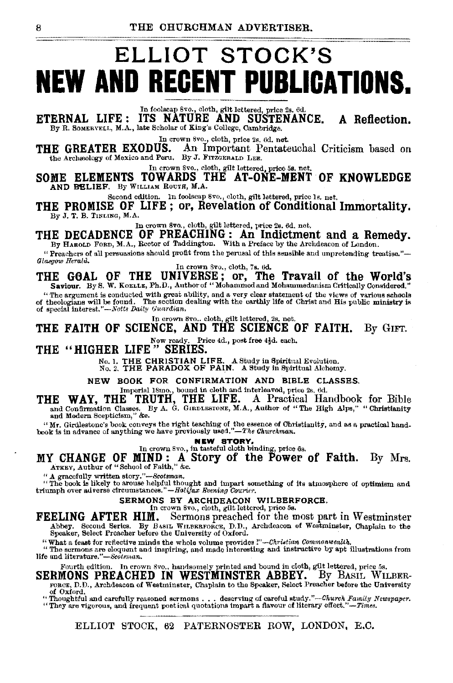# ELLIOT STOCK'S **NEW AND REGENT PUBLICATIONS.**

In foolscap 8vo., cloth, gilt lettered, price 2s. 6d.<br>ITS NATURE AND SUSTENANCE. ETERNAL LIFE: A Reflection. By R. SOMERVELL, M.A., late Scholar of King's College, Cambridge.

In crown 8vo., cloth, price 2s. 6d. net.

THE GREATER EXODUS. An Important Pentateuchal Criticism based on the Archaeology of Mexico and Peru. By J. FITZGERALD LEE.

SOME ELEMENTS TOWARDS THE AT-ONE-MENT OF KNOWLEDGE AND BELIEF. By WILLIAM ROUTH, M.A.

Second edition. In foolscap 8vo., cloth, gilt lettered, price 1s. net. THE PROMISE OF LIFE; or, Revelation of Conditional Immortality. By J. T. B. TINLING, M.A.

In crown 8vo., cloth, gilt lettered, price 2s. 6d, net,

THE DECADENCE OF PREACHING: An Indictment and a Remedy. By HAROLD FORD, M.A., Rector of Taddington. With a Preface by the Archdeacon of London.

"Preachers of all persuasions should profit from the perusal of this sensible and unpretending treatise."-Glasgow Herald. In crown 8vo., cloth, 7s. 6d.

THE GOAL OF THE UNIVERSE; or, The Travail of the World's Saviour. By S. W. KOELLE, Ph.D., Author of "Mohammed and Mohammedanism Critically Considered."

"The argument is conducted with great ability, and a very clear statement of the views of various schools The section dealing with the earthly life of Christ and His public ministry is of theologians will be found. The section of special interest."-Notts Daily Guardian.

In erown 8vo.. cloth, gilt lettered, 2s. net.

### THE FAITH OF SCIENCE, AND THE SCIENCE OF FAITH. By GIFT.

Now ready. Price 4d., post free 4}d. each.<br>THE "HIGHER LIFE" SERIES.

No. 1. THE CHRISTIAN LIFE. A Study in Spiritual Evolution.<br>No. 2. THE PARADOX OF PAIN. A Study in Spiritual Alchemy.

#### NEW BOOK FOR CONFIRMATION AND BIBLE CLASSES.

Imperial 18mo., bound in cloth and interleaved, price 2s. 6d.

THE WAY, THE TRUTH, THE LIFE. A Practical Handbook for Bible and Confirmation Classes. By A. G. GIRDLESTONE, M.A., Author of "The High Alps," "Christianity and Modern Scepticism," &c.

"Mr. Girdlestone's book conveys the right teaching of the essence of Christianity, and as a practical hand-book is in advance of anything we have previously used."—The Churchman.

NEW STORY.

In crown 8vo., in tasteful cloth binding, price 6s.

MY CHANGE OF MIND: A Story of the Power of Faith. By Mrs. ATKEY, Authur of "School of Faith," &c.

"A gracefully written story."-Scotsman.

"The book is likely to arouse helpful thought and impart something of its atmosphere of optimism and triumph over adverse circumstances."-Halifax Buening Courier.

# SERMONS BY ARCHDEACON WILBERFORCE.

Sermons preached for the most part in Westminster FEELING AFTER HIM. Abbey. Second Series. By BASIL WILBERFORCE, D.D., Archdeacon of Westminster, Chaplain to the Speaker, Select Preacher before the University of Oxford.

"What a feast for reflective minds the whole volume provides  $l''$ -Christian Commonwealth,<br>"The sermons are eloquent and inspiring, and made interesting and instructive by apt illustrations from life and literature."-Scotsman.

Fourth edition. In crown 8vo., handsomely printed and bound in cloth, gilt lettered, price 5s.

SERMONS PREACHED IN WESTMINSTER ABBEY. By BASIL WILBER-FORCE, D.D., Archdeacon of Westminster, Chaplain to the Speaker, Select Preacher before the University of Oxford.

"Thoughtful and carefully reasoned sermons . . . deserving of careful study."-Church Family Newspaper. "They are vigorous, and frequent poetical quotations impart a flavour of literary effect."-Times.

ELLIOT STOCK, 62 PATERNOSTER ROW, LONDON, E.C.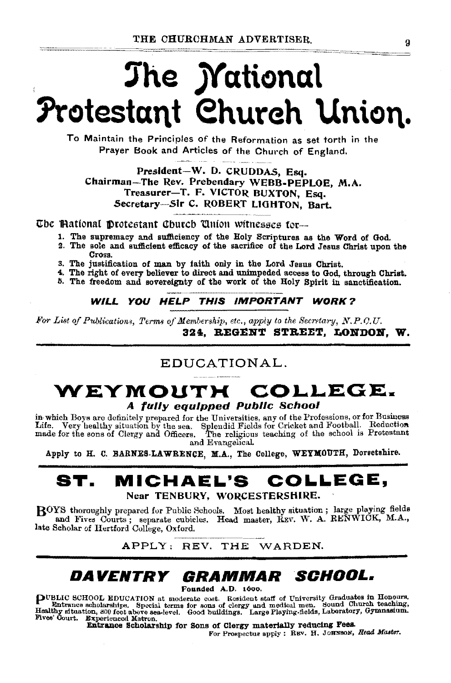# The *Mational* Protestant Church Union.

To Maintain the Principles of the Reformation as set torth in the Prayer Book and Articles of the Church of England.

President-W. D. CRUDDAS, Esq. Chairman-The Rev. Prebendary WEBB-PEPLOE, M.A. Treasurer-T. F. VICTOR BUXTON, Esq. Secretary-Sir C. ROBERT LIGHTON. Bart.

The Mational Protestant Church Union witnesses for...

- 1. The supremacy and sufficiency of the Holy Scriptures as the Word of God.
- 2. The sole and sufficient efficacy of the sacrifice of the Lord Jesus Christ upon the Cross.
- 3. The justification of man by faith only in the Lord Jesus Christ.
- 4. The right of every believer to direct and unimpeded access to God, through Christ.
- 5. The freedom and sovereignty of the work of the Holy Spirit in sanctification.

WILL YOU HELP THIS IMPORTANT WORK?

For List of Publications, Terms of Membership, etc., apply to the Secretary, N.P.O.U. 324. REGENT STREET, LONDON, W.

### EDUCATIONAL.

### WEYMOUTH COLLEGE. A fully equipped Public School

in which Boys are definitely prepared for the Universities, any of the Professions, or for Business Life. Very healthy situation by the sea. Splendid Fields for Cricket and Football. Reduction made for the sons of Clergy and Officers. The religious teaching of the school is Protestant and Evangelical.

Apply to H. C. BARNES-LAWRENCE, M.A., The College, WEYMOUTH, Dorsetshire.

#### ST. **MICHAEL'S** COLLEGE,

Near TENBURY, WORCESTERSHIRE.

BOYS thoroughly prepared for Public Schools. Most healthy situation; large playing fields and Fives Courts; separate cubicles. Head master, REV. W. A. RENWICK, M.A., late Scholar of Hertford College, Oxford.

APPLY: REV. THE WARDEN.

#### *DAVENTRY GRAMMAR SCHOOL.*

Founded A.D. 1600.

**PUBLIC SCHOOL EDUCATION** at moderate cost. Resident staff of University Graduates in Honours.<br>Healthy situation, site for some of clergy and medical men. Sound Church teaching,<br>Healthy situation, site above sea-level. Goo

Entrance Scholarship for Sons of Clergy materially reducing Fees.

For Prospectus apply: REV. H. JOHNSON, Head Master.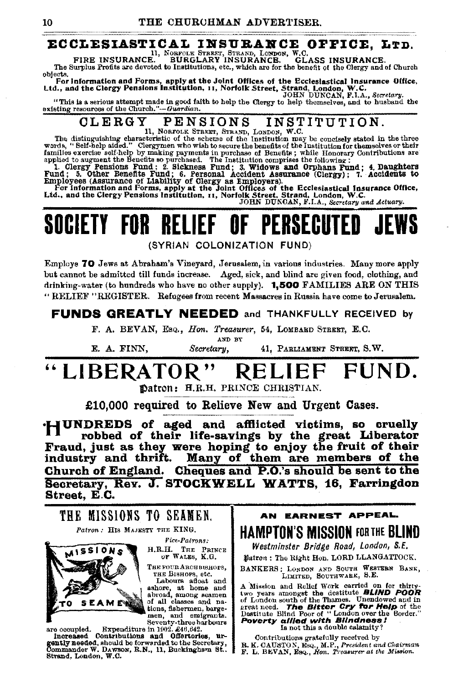# **ECCLESIASTICAL INSUBANCE OFFICE, LTD.**<br>FIRE INSURANCE. BURGLARY INSURANCE. GLASS INSURANCE.

The Surplus Profits are devoted to Institutions, etc., which are for the benefit of the Clergy and of Church objects.

objects.<br>For information and Forms, apply at the Joint Offices of the Ecclesiastical Insurance Office,<br>Ltd., and the Clergy Pensions Institution, 11, Norfolk Street, Strand, London, W.C.<br>Comparison and the Clergy Pensions

"This is a serious attempt made in good faith to help the Clergy to help themselves, and to husband the existing resources of the Church." $-Guardian$ .

# OLERGY PENSIONS INSTITUTION.<br>The distinguishing characteristic of the scheme of the Institution may be concisely stated in the three

words, "Self-help aided." Clergymen who wish to secure the benefits of the Institution for themselves or their<br>families exercise self-help by making payments in purchase of Benefits; while Honorary Contributions are<br>applie

Employees (Assurance of Liability of Clergy as Employers).<br>For information and Forms, apply at the Joint Offices of the Ecclesiastical Insurance Office,<br>Ltd., and the Clergy Pensions Institution, 11, Norfolk Street, Strand

# **SOCIETY FOR RELIEF OF PERSECUTED JEWS**

{SYRIAN COLONIZATION FUND)

Employs 70 Jews at Abraham's Vineyard, Jerusalem, in various industries. Many more apply but cannot be admitted till funds increase. Aged, sick, and blind are given food, clothing, and drinking-water (to hundreds who have no other supply). 1,500 FAMILIES ARE ON THIS "RELIEF "REGISTER. Refugees from recent Massacres in Russia have oome to Jerusalem.

FUNDS GREATLY NEEDED and THANKFULLY RECEIVED by

F. A. BEVAN, Esq., *Hon. Treasurer*, 54, LOMBARD STREET, E.C. AND BY

E. A. FINN, *Secretary,* 41, PARLIAMENT STREET, S.W.

# "LIBERATOR" RELIEF FUND.

Datron: H.R.H. PRINCE CHRISTIAN.

£10,000 required to Relieve New and Urgent Cases.

•**HUNDREDS** of aged and afflicted victims, so cruelly robbed of their life-savings by the great Liberator Fraud, just as they were hoping to enjoy the fruit of their industry and thrift. Many of them are members of the industry and thrift. Many of them are members of the<br>Church of England. Cheques and P.O.'s should be sent to the Secretary, Rev. J. STOCKWELL WATTS, 16, Farringdon Street, E.C.



lncreased Contributions and Offertories, urgently needed, should be forwarded to the Secretary, Commander W. DAVISON, R.N., 11, Buckinghavn St.. Strand, London, W.C.

AN EARNEST APPEAl.. HAMPTON'S MISSION FORTHE BLIND

*Westminster Bridge Road, London, 8.E.*   $#$ atron: The Right Hon. LORD LLANGATTOCK.

BANKERS: LONDON AND SOUTH WESTERN BANK,<br>LIMITED, SOUTHWARK, S.E.

A Mission and Relief Work carried on for thirty-<br>two years amongst the destitute **BLIND POOR**<br>of London south of the Thames. Unendowed and in or Louis soul of the Bitter Cry for Help of the Destitute Blind Poor of "London over the Border."<br> **Poverty allied with Blindness!**<br> **Poverty allied with Blindness?** 

Contributions gratefully received by R. K. CAUSTON, Esq., M.P., *President and Chairman F.* L. BEVAN, Esq., *Hon. Treasurer at the Mission.*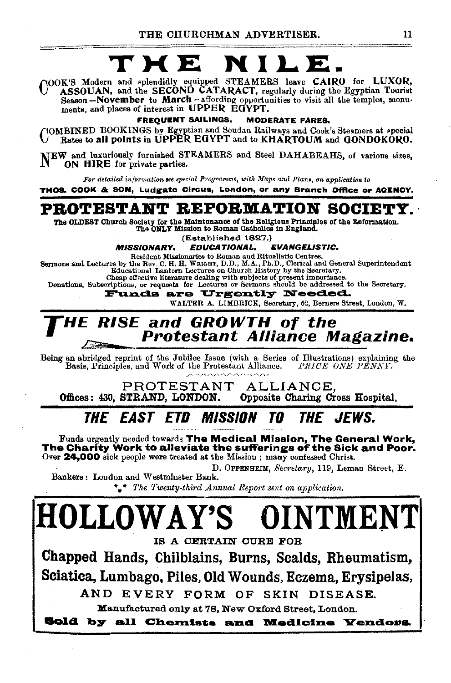# TME

(NOOK'S Modern and splendidly equipped STEAMERS leave CAIRO for LUXOR, 1988)<br>ASSOUAN, and the SECOND CATARACT, regularly during the Egyptian Tearist Reason – November to March – affording opportunities to visit all the temples, monuments, and places of interest in UPPER EGYPT.

**FREQUENT SAILINGS. MODERATE FARES.** 

YOMBINED BOOKINGS by Egyptian and Soudan Railways and Cook's Steamers at special Rates to all points in UPPER EGYPT and to KHARTOUM and GONDOKORO.

NEW and luxuriously furnished STEAMERS and Steel DAHABEAHS, of various sizes, ON HIRE for private parties.

For detailed information see special Programme, with Maps and Plans, on application to

THOS. COOK & SON, Ludgate Circus, London, or any Branch Office or AGENCY.

### PROTESTANT REFORMATION SOCIET

The OLDEST Church Society for the Maintenance of the Religious Principles of the Reformation. The ONLY Mission to Roman Catholics in England.

(Established 1827.)

**EVANGELISTIC. MISSIONARY. EDUCATIONAL.** 

Resident Missionaries to Roman and Ritualistic Centres.<br>
Sermons and Lectures by the Rev. C. H. H. WRIGHT, D.D., M.A., Ph.D., Clerical and General Superintendent<br>
Educational Lantern Lectures on Church History by the Secre

Cheap effective literature dealing with subjects of present importance.

Donations, Subscriptions, or requests for Lectures or Sermons should be addressed to the Secretary.

are Urgently Needed. **Funds** 

WALTER A. LIMBRICK, Secretary, 62, Berners Street, London, W.

#### **RISE and GROWTH of the** 4F **Protestant Alliance Magazine.**

Being an abridged reprint of the Jubilee Issue (with a Series of Illustrations) explaining the Basis, Principles, and Work of the Protestant Alliance. PRICE ONE PENNY.

PROTESTANT ALLIANCE Offices: 430. STRAND. LONDON. Opposite Charing Cross Hospital.

#### *The East etd Mission* THE JEWS TN

Funds urgently needed towards The Medical Mission, The General Work, The Charity Work to alleviate the sufferings of the Sick and Poor. Over 24,000 sick people were treated at the Mission; many confessed Christ.

D. OPPENHEIM, Secretary, 119, Leman Street, E. Bankers: London and Westminster Bank.

\*\* The Twenty-third Annual Report sent on application.

**HOLLOWAY'S** OINTMENT IS A CERTAIN CURE FOR Chapped Hands, Chilblains, Burns, Scalds, Rheumatism, Sciatica, Lumbago, Piles, Old Wounds, Eczema, Erysipelas, AND EVERY FORM OF SKIN DISEASE. Manufactured only at 78, New Oxford Street, London. Sold by all Chemists and Medicine Yendors.